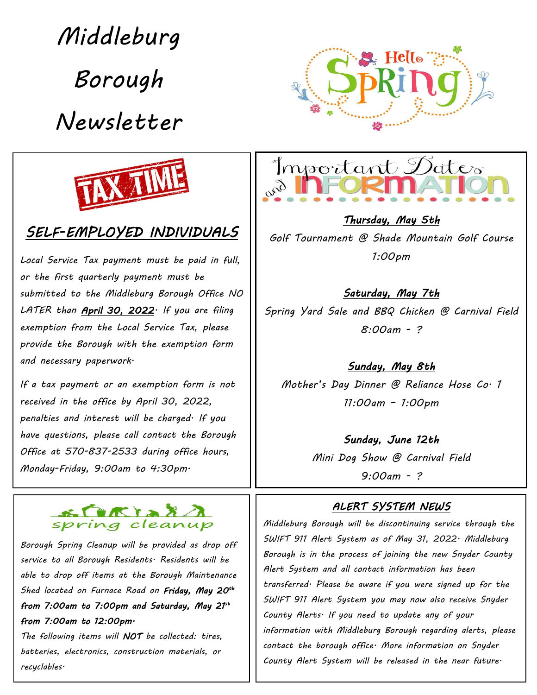*Middleburg* 

*Borough* 

*Newsletter*





## *SELF-EMPLOYED INDIVIDUALS*

*Local Service Tax payment must be paid in full, or the first quarterly payment must be submitted to the Middleburg Borough Office NO LATER than April 30, 2022. If you are filing exemption from the Local Service Tax, please provide the Borough with the exemption form and necessary paperwork.*

*If a tax payment or an exemption form is not received in the office by April 30, 2022, penalties and interest will be charged. If you have questions, please call contact the Borough Office at 570-837-2533 during office hours, Monday-Friday, 9:00am to 4:30pm.*



*Borough Spring Cleanup will be provided as drop off service to all Borough Residents. Residents will be able to drop off items at the Borough Maintenance Shed located on Furnace Road on Friday, May 20 th from 7:00am to 7:00pm and Saturday, May 21 st from 7:00am to 12:00pm.* 

*The following items will NOT be collected: tires, batteries, electronics, construction materials, or recyclables.* 



*Thursday, May 5th Golf Tournament @ Shade Mountain Golf Course 1:00pm*

*Saturday, May 7th Spring Yard Sale and BBQ Chicken @ Carnival Field 8:00am - ?* 

*Sunday, May 8th Mother's Day Dinner @ Reliance Hose Co. 1 11:00am – 1:00pm* 

#### *Sunday, June 12th*

*Mini Dog Show @ Carnival Field 9:00am - ?*

#### *ALERT SYSTEM NEWS*

*Middleburg Borough will be discontinuing service through the SWIFT 911 Alert System as of May 31, 2022. Middleburg Borough is in the process of joining the new Snyder County Alert System and all contact information has been transferred. Please be aware if you were signed up for the SWIFT 911 Alert System you may now also receive Snyder County Alerts. If you need to update any of your information with Middleburg Borough regarding alerts, please contact the borough office. More information on Snyder County Alert System will be released in the near future.*